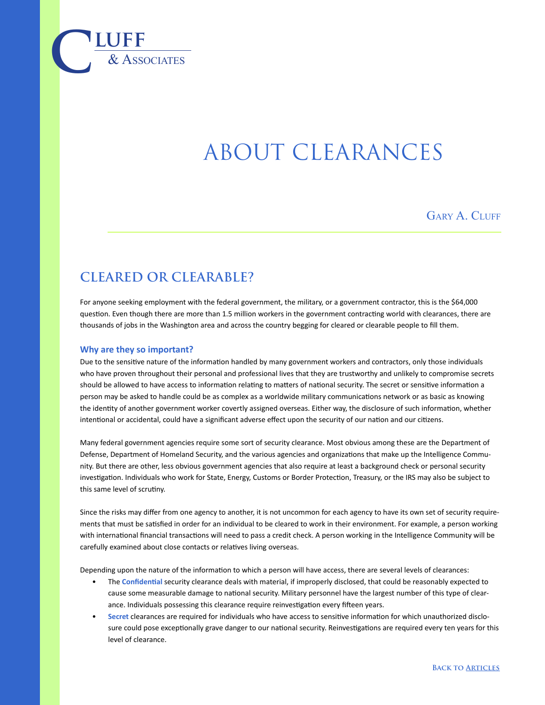

# About Clearances

GARY A. CLUFF

# **CLEARED OR CLEARABLE?**

For anyone seeking employment with the federal government, the military, or a government contractor, this is the \$64,000 question. Even though there are more than 1.5 million workers in the government contracting world with clearances, there are thousands of jobs in the Washington area and across the country begging for cleared or clearable people to fill them.

#### **Why are they so important?**

Due to the sensitive nature of the information handled by many government workers and contractors, only those individuals who have proven throughout their personal and professional lives that they are trustworthy and unlikely to compromise secrets should be allowed to have access to information relating to matters of national security. The secret or sensitive information a person may be asked to handle could be as complex as a worldwide military communications network or as basic as knowing the identity of another government worker covertly assigned overseas. Either way, the disclosure of such information, whether intentional or accidental, could have a significant adverse effect upon the security of our nation and our citizens.

Many federal government agencies require some sort of security clearance. Most obvious among these are the Department of Defense, Department of Homeland Security, and the various agencies and organizations that make up the Intelligence Community. But there are other, less obvious government agencies that also require at least a background check or personal security investigation. Individuals who work for State, Energy, Customs or Border Protection, Treasury, or the IRS may also be subject to this same level of scrutiny.

Since the risks may differ from one agency to another, it is not uncommon for each agency to have its own set of security requirements that must be satisfied in order for an individual to be cleared to work in their environment. For example, a person working with international financial transactions will need to pass a credit check. A person working in the Intelligence Community will be carefully examined about close contacts or relatives living overseas.

Depending upon the nature of the information to which a person will have access, there are several levels of clearances:

- The **Confidential** security clearance deals with material, if improperly disclosed, that could be reasonably expected to cause some measurable damage to national security. Military personnel have the largest number of this type of clearance. Individuals possessing this clearance require reinvestigation every fifteen years.
- **Secret** clearances are required for individuals who have access to sensitive information for which unauthorized disclosure could pose exceptionally grave danger to our national security. Reinvestigations are required every ten years for this level of clearance.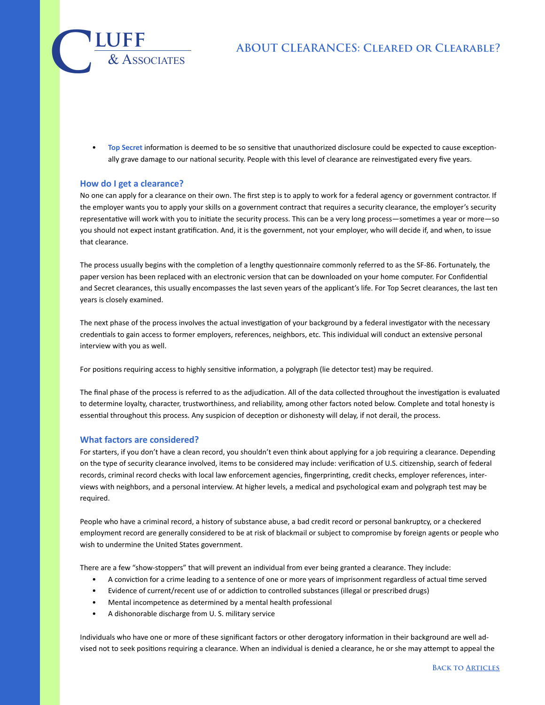## **About Clearances: Cleared or Clearable?**

• **Top Secret** information is deemed to be so sensitive that unauthorized disclosure could be expected to cause exceptionally grave damage to our national security. People with this level of clearance are reinvestigated every five years.

#### **How do I get a clearance?**

 $\overline{\text{LUFF}}$  **luff** 

No one can apply for a clearance on their own. The first step is to apply to work for a federal agency or government contractor. If the employer wants you to apply your skills on a government contract that requires a security clearance, the employer's security representative will work with you to initiate the security process. This can be a very long process—sometimes a year or more—so you should not expect instant gratification. And, it is the government, not your employer, who will decide if, and when, to issue that clearance.

The process usually begins with the completion of a lengthy questionnaire commonly referred to as the SF-86. Fortunately, the paper version has been replaced with an electronic version that can be downloaded on your home computer. For Confidential and Secret clearances, this usually encompasses the last seven years of the applicant's life. For Top Secret clearances, the last ten years is closely examined.

The next phase of the process involves the actual investigation of your background by a federal investigator with the necessary credentials to gain access to former employers, references, neighbors, etc. This individual will conduct an extensive personal interview with you as well.

For positions requiring access to highly sensitive information, a polygraph (lie detector test) may be required.

The final phase of the process is referred to as the adjudication. All of the data collected throughout the investigation is evaluated to determine loyalty, character, trustworthiness, and reliability, among other factors noted below. Complete and total honesty is essential throughout this process. Any suspicion of deception or dishonesty will delay, if not derail, the process.

#### **What factors are considered?**

For starters, if you don't have a clean record, you shouldn't even think about applying for a job requiring a clearance. Depending on the type of security clearance involved, items to be considered may include: verification of U.S. citizenship, search of federal records, criminal record checks with local law enforcement agencies, fingerprinting, credit checks, employer references, interviews with neighbors, and a personal interview. At higher levels, a medical and psychological exam and polygraph test may be required.

People who have a criminal record, a history of substance abuse, a bad credit record or personal bankruptcy, or a checkered employment record are generally considered to be at risk of blackmail or subject to compromise by foreign agents or people who wish to undermine the United States government.

There are a few "show-stoppers" that will prevent an individual from ever being granted a clearance. They include:

- A conviction for a crime leading to a sentence of one or more years of imprisonment regardless of actual time served
- Evidence of current/recent use of or addiction to controlled substances (illegal or prescribed drugs)
- Mental incompetence as determined by a mental health professional
- A dishonorable discharge from U. S. military service

Individuals who have one or more of these significant factors or other derogatory information in their background are well advised not to seek positions requiring a clearance. When an individual is denied a clearance, he or she may attempt to appeal the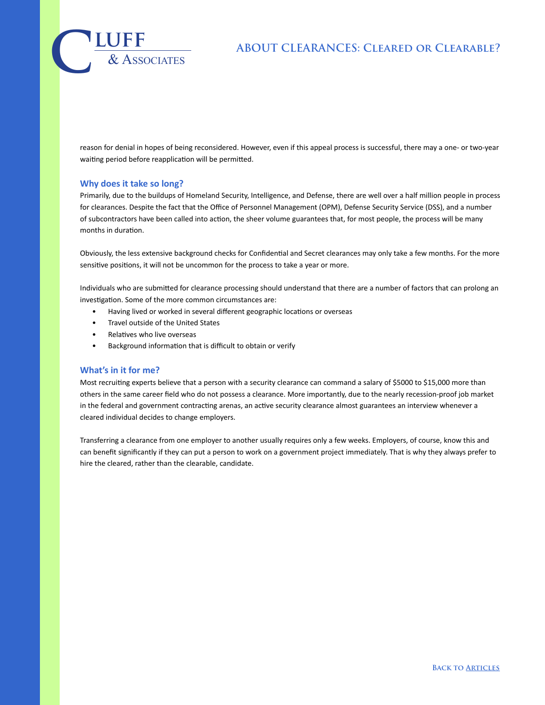# **About Clearances: Cleared or Clearable?**

 $\overline{\text{LUFF}}$  **luff** 

reason for denial in hopes of being reconsidered. However, even if this appeal process is successful, there may a one- or two-year waiting period before reapplication will be permitted.

#### **Why does it take so long?**

Primarily, due to the buildups of Homeland Security, Intelligence, and Defense, there are well over a half million people in process for clearances. Despite the fact that the Office of Personnel Management (OPM), Defense Security Service (DSS), and a number of subcontractors have been called into action, the sheer volume guarantees that, for most people, the process will be many months in duration.

Obviously, the less extensive background checks for Confidential and Secret clearances may only take a few months. For the more sensitive positions, it will not be uncommon for the process to take a year or more.

Individuals who are submitted for clearance processing should understand that there are a number of factors that can prolong an investigation. Some of the more common circumstances are:

- Having lived or worked in several different geographic locations or overseas
- Travel outside of the United States
- Relatives who live overseas
- Background information that is difficult to obtain or verify

#### **What's in it for me?**

Most recruiting experts believe that a person with a security clearance can command a salary of \$5000 to \$15,000 more than others in the same career field who do not possess a clearance. More importantly, due to the nearly recession-proof job market in the federal and government contracting arenas, an active security clearance almost guarantees an interview whenever a cleared individual decides to change employers.

Transferring a clearance from one employer to another usually requires only a few weeks. Employers, of course, know this and can benefit significantly if they can put a person to work on a government project immediately. That is why they always prefer to hire the cleared, rather than the clearable, candidate.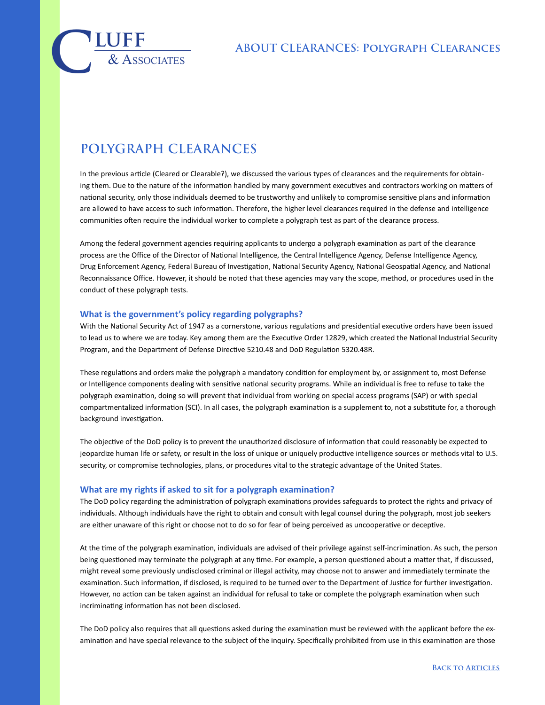# $\overline{\text{LUFF}}$  **luff**

# **POLYGRAPH CLEARANCES**

In the previous article (Cleared or Clearable?), we discussed the various types of clearances and the requirements for obtaining them. Due to the nature of the information handled by many government executives and contractors working on matters of national security, only those individuals deemed to be trustworthy and unlikely to compromise sensitive plans and information are allowed to have access to such information. Therefore, the higher level clearances required in the defense and intelligence communities often require the individual worker to complete a polygraph test as part of the clearance process.

Among the federal government agencies requiring applicants to undergo a polygraph examination as part of the clearance process are the Office of the Director of National Intelligence, the Central Intelligence Agency, Defense Intelligence Agency, Drug Enforcement Agency, Federal Bureau of Investigation, National Security Agency, National Geospatial Agency, and National Reconnaissance Office. However, it should be noted that these agencies may vary the scope, method, or procedures used in the conduct of these polygraph tests.

#### **What is the government's policy regarding polygraphs?**

With the National Security Act of 1947 as a cornerstone, various regulations and presidential executive orders have been issued to lead us to where we are today. Key among them are the Executive Order 12829, which created the National Industrial Security Program, and the Department of Defense Directive 5210.48 and DoD Regulation 5320.48R.

These regulations and orders make the polygraph a mandatory condition for employment by, or assignment to, most Defense or Intelligence components dealing with sensitive national security programs. While an individual is free to refuse to take the polygraph examination, doing so will prevent that individual from working on special access programs (SAP) or with special compartmentalized information (SCI). In all cases, the polygraph examination is a supplement to, not a substitute for, a thorough background investigation.

The objective of the DoD policy is to prevent the unauthorized disclosure of information that could reasonably be expected to jeopardize human life or safety, or result in the loss of unique or uniquely productive intelligence sources or methods vital to U.S. security, or compromise technologies, plans, or procedures vital to the strategic advantage of the United States.

#### **What are my rights if asked to sit for a polygraph examination?**

The DoD policy regarding the administration of polygraph examinations provides safeguards to protect the rights and privacy of individuals. Although individuals have the right to obtain and consult with legal counsel during the polygraph, most job seekers are either unaware of this right or choose not to do so for fear of being perceived as uncooperative or deceptive.

At the time of the polygraph examination, individuals are advised of their privilege against self-incrimination. As such, the person being questioned may terminate the polygraph at any time. For example, a person questioned about a matter that, if discussed, might reveal some previously undisclosed criminal or illegal activity, may choose not to answer and immediately terminate the examination. Such information, if disclosed, is required to be turned over to the Department of Justice for further investigation. However, no action can be taken against an individual for refusal to take or complete the polygraph examination when such incriminating information has not been disclosed.

The DoD policy also requires that all questions asked during the examination must be reviewed with the applicant before the examination and have special relevance to the subject of the inquiry. Specifically prohibited from use in this examination are those